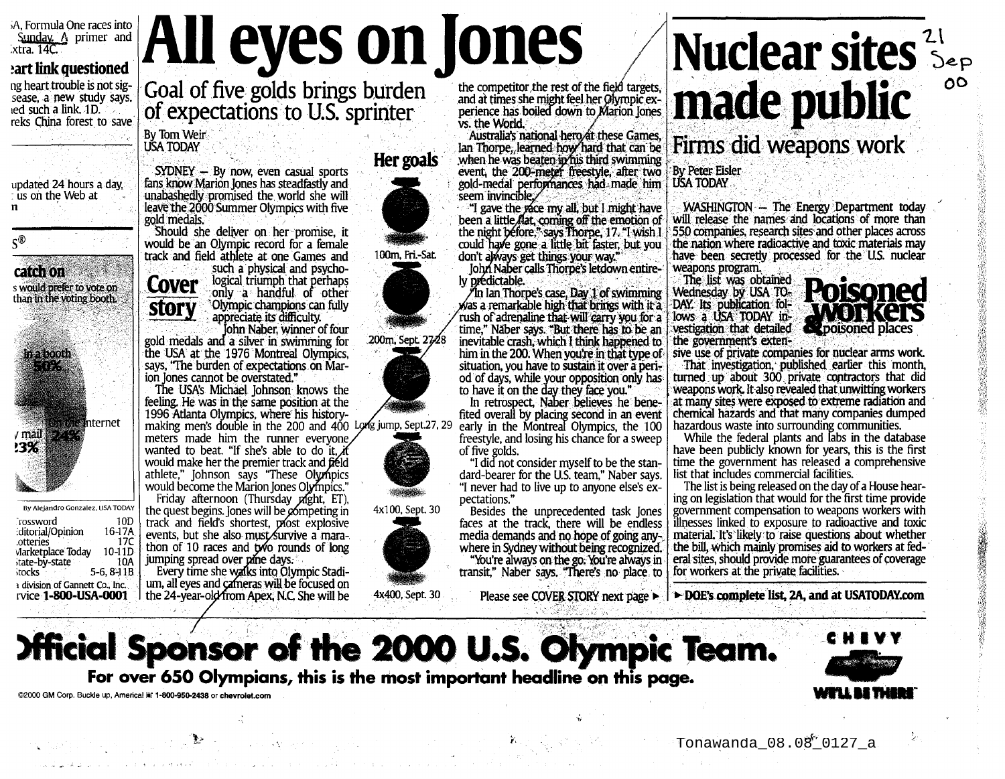A. Formula One races into Sunday A primer and<br>xtra. 14C.

## eart link questioned

ng heart trouble is not sigsease, a new study says. led such a link. 1D. reks China forest to save

By Tom Weir

**USA TODAY** 

gold medals.

**Cover** 

**story** 

updated 24 hours a day. t us on the Web at  $\mathbf n$ 

 $\varsigma^{\scriptscriptstyle{\textcircled{\tiny{R}}}}$ 

catch on s would prefer to vote on than in the voting booth. n a booth 20 **M**nternet  $\sqrt{$ mail<sup>1</sup>  $23%$ 

By Alejandro Gonzalez, USA TODAY `rossword 10<sub>D</sub> 16-17A ditorial/Opinion  $17C$ otteries Marketplace Today  $10-11D$ state-by-state 10A

a division of Gannett Co., Inc.

rvice 1-800-USA-0001

stocks

 $5-6, 8-11B$ 

meters made him the runner everyone, wanted to beat. "If she's able to do it if would make her the premier track and field athlete," Johnson says "These Olympics would become the Marion Jones Olympics." Friday afternoon (Thursday *pl*ght, ET), the quest begins. Jones will be competing in track and field's shortest, plost explosive

events, but she also must survive a marathon of 10 races and two rounds of long<br>jumping spread over pine days.

Every time she walks into Olympic Stadium, all eyes and cameras will be focused on the 24-year-old from Apex, N.C. She will be

Her goals

All eyes on Jones

Goal of five golds brings burden<br>of expectations to U.S. sprinter

 $SYDNEY - By now, even casual sports$ 

fans know Marion Jones has steadfastly and

unabashedly promised the world she will

leave the 2000 Summer Olympics with five

Should she deliver on her promise, it

such a physical and psycho-

logical triumph that perhaps

only a handful of other

Olympic champions can fully

John Naber, winner of four

appreciate its difficulty.

would be an Olympic record for a female

track and field athlete at one Games and

gold medals and a silver in swimming for

the USA at the 1976 Montreal Olympics,

says, "The burden of expectations on Mar-

The USA's Michael Johnson knows the

feeling. He was in the same position at the

1996 Atlanta Olympics, where his history-

ion lones cannot be overstated."

100m. Fri-Sat.

200m, Sept. 2728





4x100, Sept. 30



the competitor the rest of the field targets, and at times she might feel her Olympic experience has boiled down to Marion Jones vs. the World.

Australia's national hero at these Games. Ian Thorpe, learned how hard that can be when he was beaten in his third swimming event, the 200-meter freestyle, after two gold-medal performances had made him seem invincible.

I gave the vace my all, but I might have been a little flat, coming off the emotion of the night before," says Thorpe, 17. "I wish I could have gone a little bit faster, but you don't always get things your way."

John Naber calls Thorpe's letdown entirely prédictable.

An Ian Thorpe's case, Day 1 of swimming was a remarkable high that brings with it a rush of adrenaline that will carry you for a time," Naber says, "But there has to be an inevitable crash, which I think happened to him in the 200. When you're in that type of situation, you have to sustain it over a period of days, while your opposition only has to have it on the day they face you."

In retrospect, Naber believes he benefited overall by placing second in an event early in the Montreal Olympics, the 100 freestyle, and losing his chance for a sweep of five golds.

"I did not consider myself to be the standard-bearer for the U.S. team," Naber says. "I never had to live up to anyone else's expectations."

Besides the unprecedented task Jones faces at the track, there will be endless media demands and no hope of going anywhere in Sydney without being recognized. "You're always on the go. You're always in transit," Naber says. "There's no place to



Firms did weapons work

**By Peter Eisler USA TODAY** 

WASHINGTON - The Energy Department today will release the names and locations of more than 550 companies, research sites and other places across the nation where radioactive and toxic materials may have been secretly processed for the U.S. nuclear weapons program.

The list was obtained Wednesday by USA TO-DAY. Its publication follows a USA TODAY investigation that detailed the government's exten-



 $\Omega$ 

sive use of private companies for nuclear arms work. That investigation, published earlier this month,

turned up about 300 private contractors that did weapons work. It also revealed that unwitting workers at many sites were exposed to extreme radiation and chemical hazards and that many companies dumped hazardous waste into surrounding communities.

While the federal plants and labs in the database have been publicly known for years, this is the first time the government has released a comprehensive list that includes commercial facilities.

The list is being released on the day of a House hearing on legislation that would for the first time provide government compensation to weapons workers with illnesses linked to exposure to radioactive and toxic material. It's likely to raise questions about whether the bill, which mainly promises aid to workers at federal sites, should provide more guarantees of coverage for workers at the private facilities.

Please see COVER STORY next page ► | ► DOE's complete list, 2A, and at USATODAY.com

**Official Sponsor of the 2000 U.S. Olympic Team.** 

For over 650 Olympians, this is the most important headline on this page.

@2000 GM Corp. Buckle up, Americal in 1-800-950-2438 or chevrolet.com